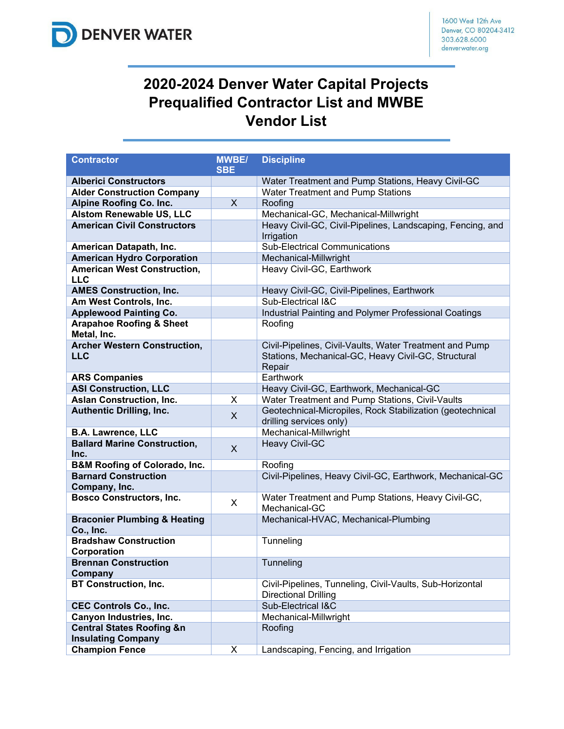

## **2020-2024 Denver Water Capital Projects Prequalified Contractor List and MWBE Vendor List**

| <b>Contractor</b>                                  | <b>MWBE/</b><br><b>SBE</b> | <b>Discipline</b>                                                                    |
|----------------------------------------------------|----------------------------|--------------------------------------------------------------------------------------|
| <b>Alberici Constructors</b>                       |                            | Water Treatment and Pump Stations, Heavy Civil-GC                                    |
| <b>Alder Construction Company</b>                  |                            | Water Treatment and Pump Stations                                                    |
| <b>Alpine Roofing Co. Inc.</b>                     | $\mathsf{X}$               | Roofing                                                                              |
| <b>Alstom Renewable US, LLC</b>                    |                            | Mechanical-GC, Mechanical-Millwright                                                 |
| <b>American Civil Constructors</b>                 |                            | Heavy Civil-GC, Civil-Pipelines, Landscaping, Fencing, and                           |
|                                                    |                            | Irrigation                                                                           |
| American Datapath, Inc.                            |                            | <b>Sub-Electrical Communications</b>                                                 |
| <b>American Hydro Corporation</b>                  |                            | Mechanical-Millwright                                                                |
| <b>American West Construction,</b>                 |                            | Heavy Civil-GC, Earthwork                                                            |
| <b>LLC</b>                                         |                            |                                                                                      |
| <b>AMES Construction, Inc.</b>                     |                            | Heavy Civil-GC, Civil-Pipelines, Earthwork                                           |
| Am West Controls, Inc.                             |                            | Sub-Electrical I&C                                                                   |
| <b>Applewood Painting Co.</b>                      |                            | Industrial Painting and Polymer Professional Coatings                                |
| <b>Arapahoe Roofing &amp; Sheet</b><br>Metal, Inc. |                            | Roofing                                                                              |
| <b>Archer Western Construction,</b>                |                            | Civil-Pipelines, Civil-Vaults, Water Treatment and Pump                              |
| <b>LLC</b>                                         |                            | Stations, Mechanical-GC, Heavy Civil-GC, Structural                                  |
|                                                    |                            | Repair                                                                               |
| <b>ARS Companies</b>                               |                            | Earthwork                                                                            |
| <b>ASI Construction, LLC</b>                       |                            | Heavy Civil-GC, Earthwork, Mechanical-GC                                             |
| <b>Aslan Construction, Inc.</b>                    | X                          | Water Treatment and Pump Stations, Civil-Vaults                                      |
| <b>Authentic Drilling, Inc.</b>                    | X                          | Geotechnical-Micropiles, Rock Stabilization (geotechnical<br>drilling services only) |
| <b>B.A. Lawrence, LLC</b>                          |                            | Mechanical-Millwright                                                                |
| <b>Ballard Marine Construction,</b>                | $\sf X$                    | <b>Heavy Civil-GC</b>                                                                |
| Inc.<br><b>B&amp;M Roofing of Colorado, Inc.</b>   |                            | Roofing                                                                              |
| <b>Barnard Construction</b>                        |                            | Civil-Pipelines, Heavy Civil-GC, Earthwork, Mechanical-GC                            |
| Company, Inc.                                      |                            |                                                                                      |
| <b>Bosco Constructors, Inc.</b>                    | X                          | Water Treatment and Pump Stations, Heavy Civil-GC,                                   |
|                                                    |                            | Mechanical-GC                                                                        |
| <b>Braconier Plumbing &amp; Heating</b>            |                            | Mechanical-HVAC, Mechanical-Plumbing                                                 |
| Co., Inc.                                          |                            |                                                                                      |
| <b>Bradshaw Construction</b><br>Corporation        |                            | Tunneling                                                                            |
| <b>Brennan Construction</b>                        |                            | Tunneling                                                                            |
| Company                                            |                            |                                                                                      |
| <b>BT Construction, Inc.</b>                       |                            | Civil-Pipelines, Tunneling, Civil-Vaults, Sub-Horizontal                             |
|                                                    |                            | <b>Directional Drilling</b>                                                          |
| <b>CEC Controls Co., Inc.</b>                      |                            | Sub-Electrical I&C                                                                   |
| Canyon Industries, Inc.                            |                            | Mechanical-Millwright                                                                |
| <b>Central States Roofing &amp;n</b>               |                            | Roofing                                                                              |
| <b>Insulating Company</b>                          |                            |                                                                                      |
| <b>Champion Fence</b>                              | X                          | Landscaping, Fencing, and Irrigation                                                 |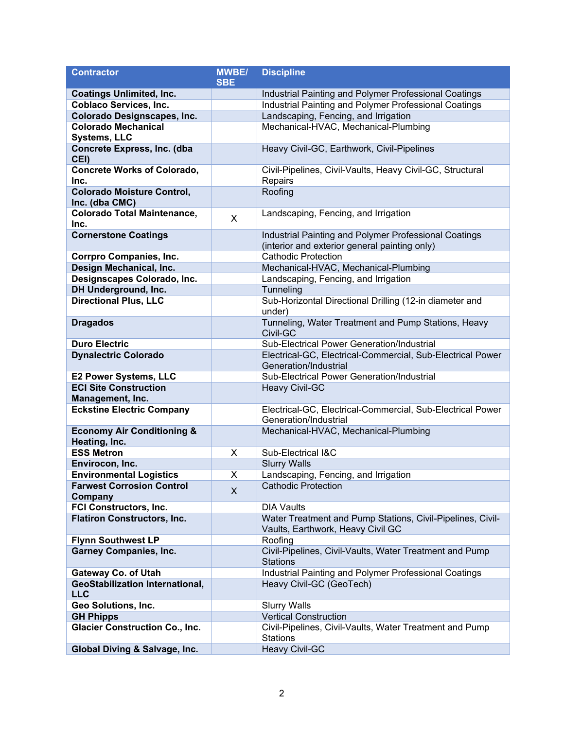| <b>Contractor</b>                                      | <b>MWBE/</b> | <b>Discipline</b>                                                                               |
|--------------------------------------------------------|--------------|-------------------------------------------------------------------------------------------------|
|                                                        | <b>SBE</b>   |                                                                                                 |
| <b>Coatings Unlimited, Inc.</b>                        |              | Industrial Painting and Polymer Professional Coatings                                           |
| <b>Coblaco Services, Inc.</b>                          |              | Industrial Painting and Polymer Professional Coatings                                           |
| <b>Colorado Designscapes, Inc.</b>                     |              | Landscaping, Fencing, and Irrigation                                                            |
| <b>Colorado Mechanical</b>                             |              | Mechanical-HVAC, Mechanical-Plumbing                                                            |
| <b>Systems, LLC</b>                                    |              |                                                                                                 |
| Concrete Express, Inc. (dba<br>CEI)                    |              | Heavy Civil-GC, Earthwork, Civil-Pipelines                                                      |
| <b>Concrete Works of Colorado,</b><br>Inc.             |              | Civil-Pipelines, Civil-Vaults, Heavy Civil-GC, Structural<br>Repairs                            |
| <b>Colorado Moisture Control,</b><br>Inc. (dba CMC)    |              | Roofing                                                                                         |
| <b>Colorado Total Maintenance,</b><br>Inc.             | X            | Landscaping, Fencing, and Irrigation                                                            |
| <b>Cornerstone Coatings</b>                            |              | Industrial Painting and Polymer Professional Coatings                                           |
|                                                        |              | (interior and exterior general painting only)                                                   |
| <b>Corrpro Companies, Inc.</b>                         |              | <b>Cathodic Protection</b>                                                                      |
| Design Mechanical, Inc.                                |              | Mechanical-HVAC, Mechanical-Plumbing                                                            |
| Designscapes Colorado, Inc.                            |              | Landscaping, Fencing, and Irrigation                                                            |
| DH Underground, Inc.                                   |              | Tunneling                                                                                       |
| <b>Directional Plus, LLC</b>                           |              | Sub-Horizontal Directional Drilling (12-in diameter and<br>under)                               |
| <b>Dragados</b>                                        |              | Tunneling, Water Treatment and Pump Stations, Heavy<br>Civil-GC                                 |
| <b>Duro Electric</b>                                   |              | Sub-Electrical Power Generation/Industrial                                                      |
| <b>Dynalectric Colorado</b>                            |              | Electrical-GC, Electrical-Commercial, Sub-Electrical Power                                      |
|                                                        |              | Generation/Industrial                                                                           |
| <b>E2 Power Systems, LLC</b>                           |              | Sub-Electrical Power Generation/Industrial                                                      |
| <b>ECI Site Construction</b>                           |              | Heavy Civil-GC                                                                                  |
| Management, Inc.                                       |              |                                                                                                 |
| <b>Eckstine Electric Company</b>                       |              | Electrical-GC, Electrical-Commercial, Sub-Electrical Power<br>Generation/Industrial             |
| <b>Economy Air Conditioning &amp;</b><br>Heating, Inc. |              | Mechanical-HVAC, Mechanical-Plumbing                                                            |
| <b>ESS Metron</b>                                      | X            | Sub-Electrical I&C                                                                              |
| Envirocon, Inc.                                        |              | <b>Slurry Walls</b>                                                                             |
| <b>Environmental Logistics</b>                         | X            | Landscaping, Fencing, and Irrigation                                                            |
| <b>Farwest Corrosion Control</b><br>Company            | X            | <b>Cathodic Protection</b>                                                                      |
| <b>FCI Constructors, Inc.</b>                          |              | <b>DIA Vaults</b>                                                                               |
| <b>Flatiron Constructors, Inc.</b>                     |              | Water Treatment and Pump Stations, Civil-Pipelines, Civil-<br>Vaults, Earthwork, Heavy Civil GC |
| <b>Flynn Southwest LP</b>                              |              | Roofing                                                                                         |
| <b>Garney Companies, Inc.</b>                          |              | Civil-Pipelines, Civil-Vaults, Water Treatment and Pump<br><b>Stations</b>                      |
| <b>Gateway Co. of Utah</b>                             |              | Industrial Painting and Polymer Professional Coatings                                           |
| <b>GeoStabilization International,</b><br><b>LLC</b>   |              | Heavy Civil-GC (GeoTech)                                                                        |
| Geo Solutions, Inc.                                    |              | <b>Slurry Walls</b>                                                                             |
| <b>GH Phipps</b>                                       |              | <b>Vertical Construction</b>                                                                    |
| <b>Glacier Construction Co., Inc.</b>                  |              | Civil-Pipelines, Civil-Vaults, Water Treatment and Pump<br><b>Stations</b>                      |
| Global Diving & Salvage, Inc.                          |              | <b>Heavy Civil-GC</b>                                                                           |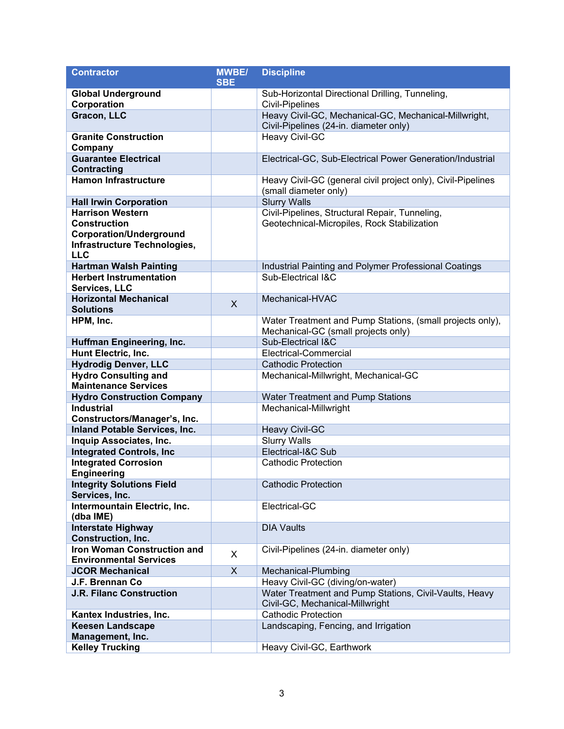| <b>Contractor</b>                    | <b>MWBE/</b> | <b>Discipline</b>                                                                         |
|--------------------------------------|--------------|-------------------------------------------------------------------------------------------|
|                                      | <b>SBE</b>   |                                                                                           |
| <b>Global Underground</b>            |              | Sub-Horizontal Directional Drilling, Tunneling,                                           |
| Corporation                          |              | <b>Civil-Pipelines</b>                                                                    |
| Gracon, LLC                          |              | Heavy Civil-GC, Mechanical-GC, Mechanical-Millwright,                                     |
|                                      |              | Civil-Pipelines (24-in. diameter only)                                                    |
| <b>Granite Construction</b>          |              | Heavy Civil-GC                                                                            |
| Company                              |              |                                                                                           |
| <b>Guarantee Electrical</b>          |              | Electrical-GC, Sub-Electrical Power Generation/Industrial                                 |
| Contracting                          |              |                                                                                           |
| <b>Hamon Infrastructure</b>          |              | Heavy Civil-GC (general civil project only), Civil-Pipelines                              |
|                                      |              | (small diameter only)                                                                     |
| <b>Hall Irwin Corporation</b>        |              | <b>Slurry Walls</b>                                                                       |
| <b>Harrison Western</b>              |              | Civil-Pipelines, Structural Repair, Tunneling,                                            |
| <b>Construction</b>                  |              | Geotechnical-Micropiles, Rock Stabilization                                               |
| <b>Corporation/Underground</b>       |              |                                                                                           |
| Infrastructure Technologies,         |              |                                                                                           |
| <b>LLC</b>                           |              |                                                                                           |
| <b>Hartman Walsh Painting</b>        |              | Industrial Painting and Polymer Professional Coatings                                     |
| <b>Herbert Instrumentation</b>       |              | Sub-Electrical I&C                                                                        |
| Services, LLC                        |              |                                                                                           |
| <b>Horizontal Mechanical</b>         | X            | Mechanical-HVAC                                                                           |
| <b>Solutions</b>                     |              |                                                                                           |
| HPM, Inc.                            |              | Water Treatment and Pump Stations, (small projects only),                                 |
|                                      |              | Mechanical-GC (small projects only)                                                       |
| Huffman Engineering, Inc.            |              | Sub-Electrical I&C                                                                        |
| Hunt Electric, Inc.                  |              | Electrical-Commercial                                                                     |
| <b>Hydrodig Denver, LLC</b>          |              | <b>Cathodic Protection</b>                                                                |
| <b>Hydro Consulting and</b>          |              | Mechanical-Millwright, Mechanical-GC                                                      |
| <b>Maintenance Services</b>          |              |                                                                                           |
| <b>Hydro Construction Company</b>    |              | Water Treatment and Pump Stations                                                         |
| <b>Industrial</b>                    |              | Mechanical-Millwright                                                                     |
| Constructors/Manager's, Inc.         |              |                                                                                           |
| <b>Inland Potable Services, Inc.</b> |              | <b>Heavy Civil-GC</b>                                                                     |
| Inquip Associates, Inc.              |              | <b>Slurry Walls</b>                                                                       |
| <b>Integrated Controls, Inc.</b>     |              | Electrical-I&C Sub                                                                        |
| <b>Integrated Corrosion</b>          |              | <b>Cathodic Protection</b>                                                                |
| <b>Engineering</b>                   |              |                                                                                           |
| <b>Integrity Solutions Field</b>     |              | <b>Cathodic Protection</b>                                                                |
| Services, Inc.                       |              |                                                                                           |
| Intermountain Electric, Inc.         |              | Electrical-GC                                                                             |
| (dba IME)                            |              |                                                                                           |
| <b>Interstate Highway</b>            |              | <b>DIA Vaults</b>                                                                         |
| <b>Construction, Inc.</b>            |              |                                                                                           |
| <b>Iron Woman Construction and</b>   | X            | Civil-Pipelines (24-in. diameter only)                                                    |
| <b>Environmental Services</b>        |              |                                                                                           |
| <b>JCOR Mechanical</b>               | X            | Mechanical-Plumbing                                                                       |
| J.F. Brennan Co                      |              | Heavy Civil-GC (diving/on-water)                                                          |
| <b>J.R. Filanc Construction</b>      |              | Water Treatment and Pump Stations, Civil-Vaults, Heavy<br>Civil-GC, Mechanical-Millwright |
| Kantex Industries, Inc.              |              | <b>Cathodic Protection</b>                                                                |
| <b>Keesen Landscape</b>              |              | Landscaping, Fencing, and Irrigation                                                      |
| Management, Inc.                     |              |                                                                                           |
| <b>Kelley Trucking</b>               |              | Heavy Civil-GC, Earthwork                                                                 |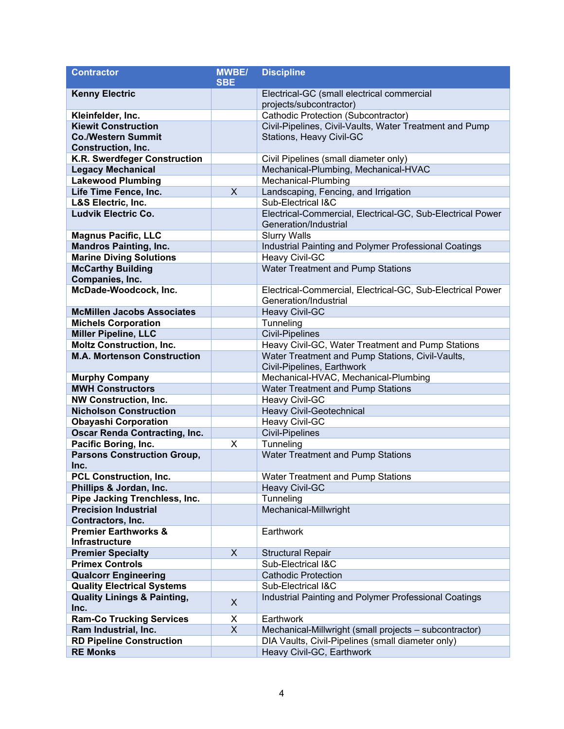| <b>Contractor</b>                                                | <b>MWBE/</b> | <b>Discipline</b>                                                                   |
|------------------------------------------------------------------|--------------|-------------------------------------------------------------------------------------|
|                                                                  | <b>SBE</b>   |                                                                                     |
| <b>Kenny Electric</b>                                            |              | Electrical-GC (small electrical commercial                                          |
|                                                                  |              | projects/subcontractor)                                                             |
| Kleinfelder, Inc.                                                |              | Cathodic Protection (Subcontractor)                                                 |
| <b>Kiewit Construction</b>                                       |              | Civil-Pipelines, Civil-Vaults, Water Treatment and Pump                             |
| <b>Co./Western Summit</b>                                        |              | Stations, Heavy Civil-GC                                                            |
| <b>Construction, Inc.</b>                                        |              |                                                                                     |
| K.R. Swerdfeger Construction                                     |              | Civil Pipelines (small diameter only)                                               |
| <b>Legacy Mechanical</b>                                         |              | Mechanical-Plumbing, Mechanical-HVAC                                                |
| <b>Lakewood Plumbing</b>                                         |              | Mechanical-Plumbing                                                                 |
| Life Time Fence, Inc.                                            | $\mathsf{X}$ | Landscaping, Fencing, and Irrigation<br>Sub-Electrical I&C                          |
| L&S Electric, Inc.<br><b>Ludvik Electric Co.</b>                 |              |                                                                                     |
|                                                                  |              | Electrical-Commercial, Electrical-GC, Sub-Electrical Power<br>Generation/Industrial |
| <b>Magnus Pacific, LLC</b>                                       |              | <b>Slurry Walls</b>                                                                 |
| <b>Mandros Painting, Inc.</b>                                    |              | Industrial Painting and Polymer Professional Coatings                               |
| <b>Marine Diving Solutions</b>                                   |              | Heavy Civil-GC                                                                      |
| <b>McCarthy Building</b>                                         |              | Water Treatment and Pump Stations                                                   |
| Companies, Inc.                                                  |              |                                                                                     |
| McDade-Woodcock, Inc.                                            |              | Electrical-Commercial, Electrical-GC, Sub-Electrical Power                          |
|                                                                  |              | Generation/Industrial                                                               |
| <b>McMillen Jacobs Associates</b>                                |              | <b>Heavy Civil-GC</b>                                                               |
| <b>Michels Corporation</b>                                       |              | Tunneling                                                                           |
| <b>Miller Pipeline, LLC</b>                                      |              | <b>Civil-Pipelines</b>                                                              |
| <b>Moltz Construction, Inc.</b>                                  |              | Heavy Civil-GC, Water Treatment and Pump Stations                                   |
| <b>M.A. Mortenson Construction</b>                               |              | Water Treatment and Pump Stations, Civil-Vaults,                                    |
|                                                                  |              | Civil-Pipelines, Earthwork                                                          |
| <b>Murphy Company</b>                                            |              | Mechanical-HVAC, Mechanical-Plumbing                                                |
| <b>MWH Constructors</b>                                          |              | Water Treatment and Pump Stations                                                   |
| <b>NW Construction, Inc.</b>                                     |              | <b>Heavy Civil-GC</b>                                                               |
| <b>Nicholson Construction</b>                                    |              | Heavy Civil-Geotechnical                                                            |
| <b>Obayashi Corporation</b>                                      |              | Heavy Civil-GC                                                                      |
| <b>Oscar Renda Contracting, Inc.</b>                             |              | <b>Civil-Pipelines</b>                                                              |
| Pacific Boring, Inc.                                             | X            | Tunneling                                                                           |
| <b>Parsons Construction Group,</b>                               |              | Water Treatment and Pump Stations                                                   |
| Inc.                                                             |              |                                                                                     |
| <b>PCL Construction, Inc.</b>                                    |              | <b>Water Treatment and Pump Stations</b>                                            |
| Phillips & Jordan, Inc.                                          |              | <b>Heavy Civil-GC</b>                                                               |
| Pipe Jacking Trenchless, Inc.                                    |              | Tunneling                                                                           |
| <b>Precision Industrial</b>                                      |              | Mechanical-Millwright                                                               |
| Contractors, Inc.                                                |              |                                                                                     |
| <b>Premier Earthworks &amp;</b>                                  |              | Earthwork                                                                           |
| Infrastructure                                                   |              |                                                                                     |
| <b>Premier Specialty</b>                                         | X            | <b>Structural Repair</b>                                                            |
| <b>Primex Controls</b>                                           |              | Sub-Electrical I&C                                                                  |
| <b>Qualcorr Engineering</b><br><b>Quality Electrical Systems</b> |              | <b>Cathodic Protection</b><br>Sub-Electrical I&C                                    |
| <b>Quality Linings &amp; Painting,</b>                           |              | Industrial Painting and Polymer Professional Coatings                               |
| Inc.                                                             | X            |                                                                                     |
| <b>Ram-Co Trucking Services</b>                                  | X            | Earthwork                                                                           |
| Ram Industrial, Inc.                                             | X            | Mechanical-Millwright (small projects - subcontractor)                              |
| <b>RD Pipeline Construction</b>                                  |              | DIA Vaults, Civil-Pipelines (small diameter only)                                   |
| <b>RE Monks</b>                                                  |              | Heavy Civil-GC, Earthwork                                                           |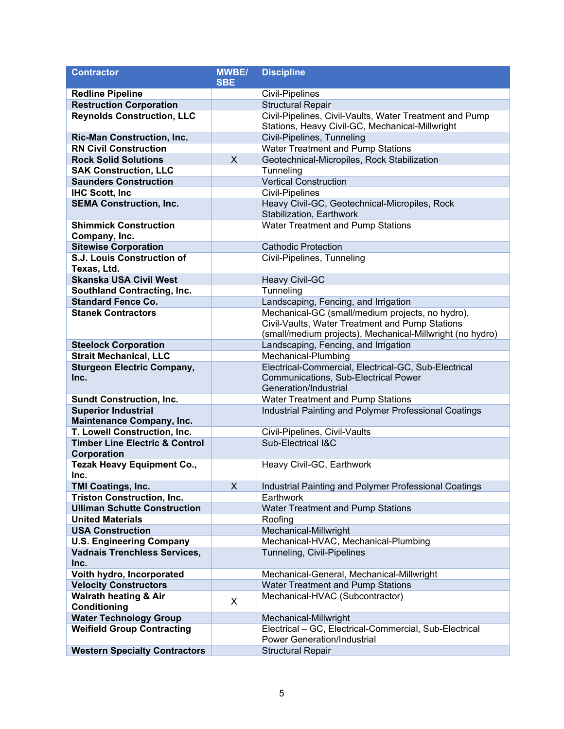| <b>Contractor</b>                                                  | <b>MWBE/</b> | <b>Discipline</b>                                                               |
|--------------------------------------------------------------------|--------------|---------------------------------------------------------------------------------|
|                                                                    | <b>SBE</b>   |                                                                                 |
| <b>Redline Pipeline</b>                                            |              | Civil-Pipelines                                                                 |
| <b>Restruction Corporation</b>                                     |              | <b>Structural Repair</b>                                                        |
| <b>Reynolds Construction, LLC</b>                                  |              | Civil-Pipelines, Civil-Vaults, Water Treatment and Pump                         |
|                                                                    |              | Stations, Heavy Civil-GC, Mechanical-Millwright                                 |
| <b>Ric-Man Construction, Inc.</b>                                  |              | Civil-Pipelines, Tunneling                                                      |
| <b>RN Civil Construction</b>                                       |              | Water Treatment and Pump Stations                                               |
| <b>Rock Solid Solutions</b>                                        | X            | Geotechnical-Micropiles, Rock Stabilization                                     |
| <b>SAK Construction, LLC</b>                                       |              | Tunneling                                                                       |
| <b>Saunders Construction</b>                                       |              | <b>Vertical Construction</b>                                                    |
| <b>IHC Scott, Inc.</b>                                             |              | <b>Civil-Pipelines</b>                                                          |
| <b>SEMA Construction, Inc.</b>                                     |              | Heavy Civil-GC, Geotechnical-Micropiles, Rock                                   |
|                                                                    |              | Stabilization, Earthwork                                                        |
| <b>Shimmick Construction</b>                                       |              | Water Treatment and Pump Stations                                               |
| Company, Inc.                                                      |              | <b>Cathodic Protection</b>                                                      |
| <b>Sitewise Corporation</b><br>S.J. Louis Construction of          |              |                                                                                 |
| Texas, Ltd.                                                        |              | Civil-Pipelines, Tunneling                                                      |
| <b>Skanska USA Civil West</b>                                      |              | <b>Heavy Civil-GC</b>                                                           |
| <b>Southland Contracting, Inc.</b>                                 |              | Tunneling                                                                       |
| <b>Standard Fence Co.</b>                                          |              | Landscaping, Fencing, and Irrigation                                            |
| <b>Stanek Contractors</b>                                          |              | Mechanical-GC (small/medium projects, no hydro),                                |
|                                                                    |              | Civil-Vaults, Water Treatment and Pump Stations                                 |
|                                                                    |              | (small/medium projects), Mechanical-Millwright (no hydro)                       |
| <b>Steelock Corporation</b>                                        |              | Landscaping, Fencing, and Irrigation                                            |
| <b>Strait Mechanical, LLC</b>                                      |              | Mechanical-Plumbing                                                             |
| <b>Sturgeon Electric Company,</b>                                  |              | Electrical-Commercial, Electrical-GC, Sub-Electrical                            |
| Inc.                                                               |              | Communications, Sub-Electrical Power                                            |
|                                                                    |              | Generation/Industrial                                                           |
| <b>Sundt Construction, Inc.</b>                                    |              | Water Treatment and Pump Stations                                               |
| <b>Superior Industrial</b>                                         |              | Industrial Painting and Polymer Professional Coatings                           |
| <b>Maintenance Company, Inc.</b>                                   |              |                                                                                 |
| T. Lowell Construction, Inc.                                       |              | Civil-Pipelines, Civil-Vaults                                                   |
| <b>Timber Line Electric &amp; Control</b>                          |              | Sub-Electrical I&C                                                              |
| <b>Corporation</b>                                                 |              |                                                                                 |
| <b>Tezak Heavy Equipment Co.,</b>                                  |              | Heavy Civil-GC, Earthwork                                                       |
| Inc.                                                               |              |                                                                                 |
| <b>TMI Coatings, Inc.</b>                                          | X            | Industrial Painting and Polymer Professional Coatings                           |
| <b>Triston Construction, Inc.</b>                                  |              | Earthwork                                                                       |
| <b>Ulliman Schutte Construction</b>                                |              | <b>Water Treatment and Pump Stations</b>                                        |
| <b>United Materials</b>                                            |              | Roofing                                                                         |
| <b>USA Construction</b>                                            |              | Mechanical-Millwright                                                           |
| <b>U.S. Engineering Company</b>                                    |              | Mechanical-HVAC, Mechanical-Plumbing                                            |
| <b>Vadnais Trenchless Services,</b>                                |              | Tunneling, Civil-Pipelines                                                      |
| Inc.                                                               |              |                                                                                 |
| Voith hydro, Incorporated                                          |              | Mechanical-General, Mechanical-Millwright                                       |
| <b>Velocity Constructors</b>                                       |              | Water Treatment and Pump Stations                                               |
| <b>Walrath heating &amp; Air</b>                                   | X            | Mechanical-HVAC (Subcontractor)                                                 |
| <b>Conditioning</b>                                                |              |                                                                                 |
| <b>Water Technology Group</b><br><b>Weifield Group Contracting</b> |              | Mechanical-Millwright<br>Electrical - GC, Electrical-Commercial, Sub-Electrical |
|                                                                    |              | <b>Power Generation/Industrial</b>                                              |
| <b>Western Specialty Contractors</b>                               |              | <b>Structural Repair</b>                                                        |
|                                                                    |              |                                                                                 |